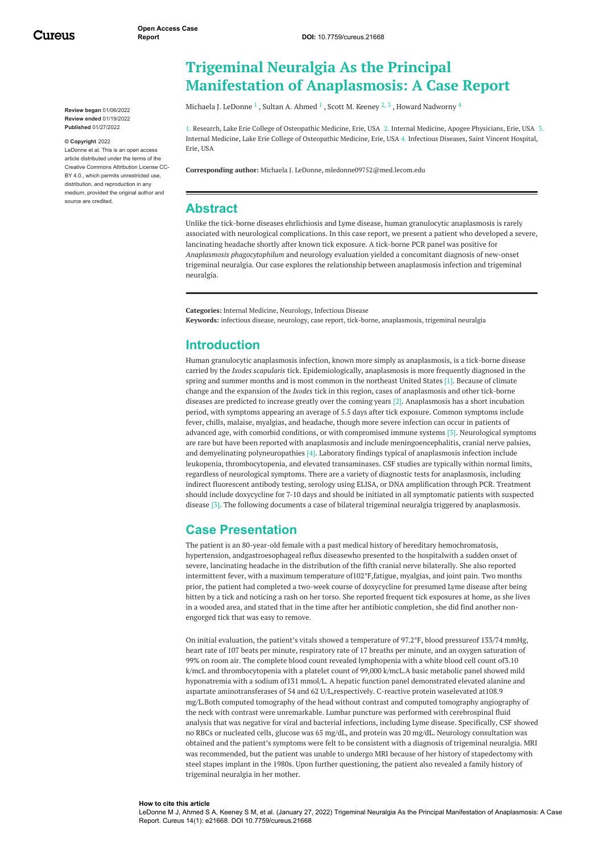Cureus

**Review began** 01/06/2022 **Review ended** 01/19/2022 **Published** 01/27/2022

#### **© Copyright** 2022

LeDonne et al. This is an open access article distributed under the terms of the Creative Commons Attribution License CC-BY 4.0., which permits unrestricted use. distribution, and reproduction in any medium, provided the original author and source are credited.

# **Trigeminal Neuralgia As the Principal Manifestation of Anaplasmosis: A Case Report**

[Michaela](https://www.cureus.com/users/318741-michaela-j-ledonne) J. LeDonne  $^1$  , Sultan A. [Ahmed](https://www.cureus.com/users/317450-sultan-a-ahmed)  $^1$  , Scott M. [Keeney](https://www.cureus.com/users/318945-scott-keeney)  $^2$  ,  $^3$  , Howard [Nadworny](https://www.cureus.com/users/318946-howard-a-nadworny)  $^4$ 

1. Research, Lake Erie College of Osteopathic Medicine, Erie, USA 2. Internal Medicine, Apogee Physicians, Erie, USA 3. Internal Medicine, Lake Erie College of Osteopathic Medicine, Erie, USA 4. Infectious Diseases, Saint Vincent Hospital, Erie, USA

**Corresponding author:** Michaela J. LeDonne, mledonne09752@med.lecom.edu

#### **Abstract**

Unlike the tick-borne diseases ehrlichiosis and Lyme disease, human granulocytic anaplasmosis is rarely associated with neurological complications. In this case report, we present a patient who developed a severe, lancinating headache shortly after known tick exposure. A tick-borne PCR panel was positive for *Anaplasmosis phagocytophilum* and neurology evaluation yielded a concomitant diagnosis of new-onset trigeminal neuralgia. Our case explores the relationship between anaplasmosis infection and trigeminal neuralgia.

**Categories:** Internal Medicine, Neurology, Infectious Disease **Keywords:** infectious disease, neurology, case report, tick-borne, anaplasmosis, trigeminal neuralgia

### **Introduction**

Human granulocytic anaplasmosis infection, known more simply as anaplasmosis, is a tick-borne disease carried by the *Ixodes scapularis* tick. Epidemiologically, anaplasmosis is more frequently diagnosed in the spring and summer months and is most common in the northeast United States [1]. Because of climate change and the expansion of the *Ixodes* tick in this region, cases of anaplasmosis and other tick-borne diseases are predicted to increase greatly over the coming years [2]. Anaplasmosis has a short incubation period, with symptoms appearing an average of 5.5 days after tick exposure. Common symptoms include fever, chills, malaise, myalgias, and headache, though more severe infection can occur in patients of advanced age, with comorbid conditions, or with compromised immune systems [3]. Neurological symptoms are rare but have been reported with anaplasmosis and include meningoencephalitis, cranial nerve palsies, and demyelinating polyneuropathies [4]. Laboratory findings typical of anaplasmosis infection include leukopenia, thrombocytopenia, and elevated transaminases. CSF studies are typically within normal limits, regardless of neurological symptoms. There are a variety of diagnostic tests for anaplasmosis, including indirect fluorescent antibody testing, serology using ELISA, or DNA amplification through PCR. Treatment should include doxycycline for 7-10 days and should be initiated in all symptomatic patients with suspected disease [3]. The following documents a case of bilateral trigeminal neuralgia triggered by anaplasmosis.

### **Case Presentation**

The patient is an 80-year-old female with a past medical history of hereditary hemochromatosis, hypertension, andgastroesophageal reflux diseasewho presented to the hospitalwith a sudden onset of severe, lancinating headache in the distribution of the fifth cranial nerve bilaterally. She also reported intermittent fever, with a maximum temperature of102°F,fatigue, myalgias, and joint pain. Two months prior, the patient had completed a two-week course of doxycycline for presumed Lyme disease after being bitten by a tick and noticing a rash on her torso. She reported frequent tick exposures at home, as she lives in a wooded area, and stated that in the time after her antibiotic completion, she did find another nonengorged tick that was easy to remove.

On initial evaluation, the patient's vitals showed a temperature of 97.2°F, blood pressureof 133/74 mmHg, heart rate of 107 beats per minute, respiratory rate of 17 breaths per minute, and an oxygen saturation of 99% on room air. The complete blood count revealed lymphopenia with a white blood cell count of3.10 k/mcL and thrombocytopenia with a platelet count of 99,000 k/mcL.A basic metabolic panel showed mild hyponatremia with a sodium of131 mmol/L. A hepatic function panel demonstrated elevated alanine and aspartate aminotransferases of 54 and 62 U/L,respectively. C-reactive protein waselevated at108.9 mg/L.Both computed tomography of the head without contrast and computed tomography angiography of the neck with contrast were unremarkable. Lumbar puncture was performed with cerebrospinal fluid analysis that was negative for viral and bacterial infections, including Lyme disease. Specifically, CSF showed no RBCs or nucleated cells, glucose was 65 mg/dL, and protein was 20 mg/dL. Neurology consultation was obtained and the patient's symptoms were felt to be consistent with a diagnosis of trigeminal neuralgia. MRI was recommended, but the patient was unable to undergo MRI because of her history of stapedectomy with steel stapes implant in the 1980s. Upon further questioning, the patient also revealed a family history of trigeminal neuralgia in her mother.

#### **How to cite this article**

LeDonne M J, Ahmed S A, Keeney S M, et al. (January 27, 2022) Trigeminal Neuralgia As the Principal Manifestation of Anaplasmosis: A Case Report. Cureus 14(1): e21668. DOI 10.7759/cureus.21668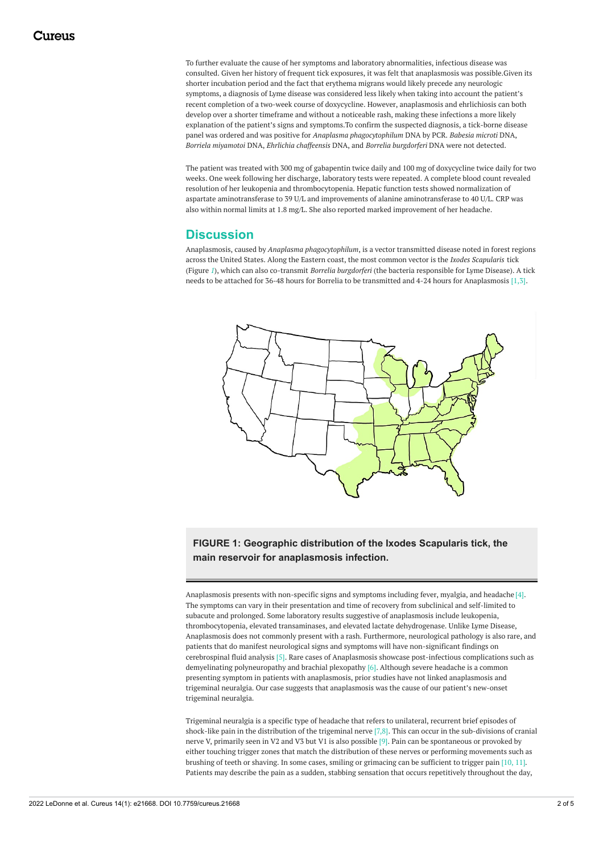To further evaluate the cause of her symptoms and laboratory abnormalities, infectious disease was consulted. Given her history of frequent tick exposures, it was felt that anaplasmosis was possible.Given its shorter incubation period and the fact that erythema migrans would likely precede any neurologic symptoms, a diagnosis of Lyme disease was considered less likely when taking into account the patient's recent completion of a two-week course of doxycycline. However, anaplasmosis and ehrlichiosis can both develop over a shorter timeframe and without a noticeable rash, making these infections a more likely explanation of the patient's signs and symptoms.To confirm the suspected diagnosis, a tick-borne disease panel was ordered and was positive for *Anaplasma phagocytophilum* DNA by PCR. *Babesia microti* DNA, *Borriela miyamotoi* DNA, *Ehrlichia chaffeensis* DNA, and *Borrelia burgdorferi* DNA were not detected.

The patient was treated with 300 mg of gabapentin twice daily and 100 mg of doxycycline twice daily for two weeks. One week following her discharge, laboratory tests were repeated. A complete blood count revealed resolution of her leukopenia and thrombocytopenia. Hepatic function tests showed normalization of aspartate aminotransferase to 39 U/L and improvements of alanine aminotransferase to 40 U/L. CRP was also within normal limits at 1.8 mg/L. She also reported marked improvement of her headache.

### **Discussion**

Anaplasmosis, caused by *Anaplasma phagocytophilum*, is a vector transmitted disease noted in forest regions across the United States. Along the Eastern coast, the most common vector is the *Ixodes Scapularis* tick (Figure *[1](#page-1-0)*), which can also co-transmit *Borrelia burgdorferi* (the bacteria responsible for Lyme Disease). A tick needs to be attached for 36-48 hours for Borrelia to be transmitted and 4-24 hours for Anaplasmosis [1,3].

<span id="page-1-0"></span>

**FIGURE 1: Geographic distribution of the Ixodes Scapularis tick, the main reservoir for anaplasmosis infection.**

Anaplasmosis presents with non-specific signs and symptoms including fever, myalgia, and headache [4]. The symptoms can vary in their presentation and time of recovery from subclinical and self-limited to subacute and prolonged. Some laboratory results suggestive of anaplasmosis include leukopenia, thrombocytopenia, elevated transaminases, and elevated lactate dehydrogenase. Unlike Lyme Disease, Anaplasmosis does not commonly present with a rash. Furthermore, neurological pathology is also rare, and patients that do manifest neurological signs and symptoms will have non-significant findings on cerebrospinal fluid analysis [5]. Rare cases of Anaplasmosis showcase post-infectious complications such as demyelinating polyneuropathy and brachial plexopathy [6]. Although severe headache is a common presenting symptom in patients with anaplasmosis, prior studies have not linked anaplasmosis and trigeminal neuralgia. Our case suggests that anaplasmosis was the cause of our patient's new-onset trigeminal neuralgia.

Trigeminal neuralgia is a specific type of headache that refers to unilateral, recurrent brief episodes of shock-like pain in the distribution of the trigeminal nerve [7,8]. This can occur in the sub-divisions of cranial nerve V, primarily seen in V2 and V3 but V1 is also possible [9]. Pain can be spontaneous or provoked by either touching trigger zones that match the distribution of these nerves or performing movements such as brushing of teeth or shaving. In some cases, smiling or grimacing can be sufficient to trigger pain [10, 11]. Patients may describe the pain as a sudden, stabbing sensation that occurs repetitively throughout the day,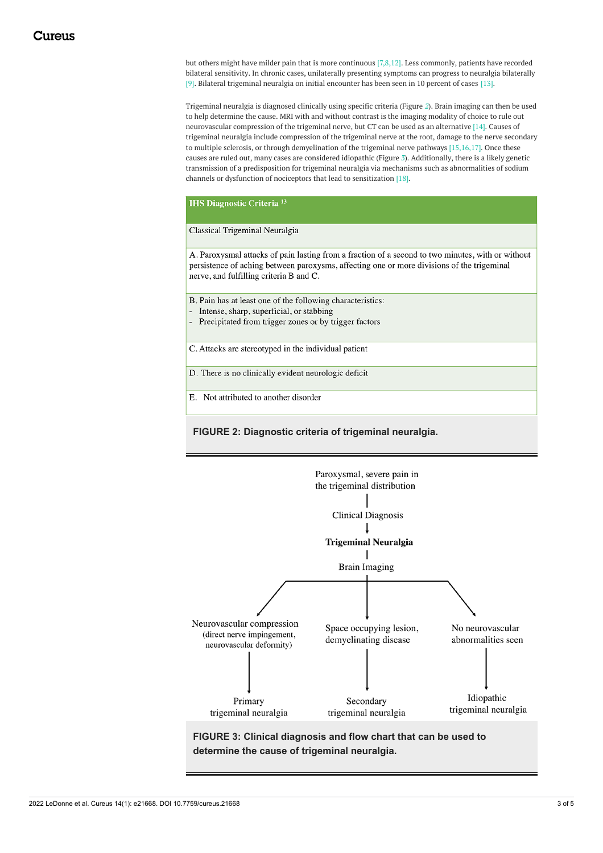but others might have milder pain that is more continuous [7,8,12]. Less commonly, patients have recorded bilateral sensitivity. In chronic cases, unilaterally presenting symptoms can progress to neuralgia bilaterally [9]. Bilateral trigeminal neuralgia on initial encounter has been seen in 10 percent of cases [13].

Trigeminal neuralgia is diagnosed clinically using specific criteria (Figure *[2](#page-2-0)*). Brain imaging can then be used to help determine the cause. MRI with and without contrast is the imaging modality of choice to rule out neurovascular compression of the trigeminal nerve, but CT can be used as an alternative [14]. Causes of trigeminal neuralgia include compression of the trigeminal nerve at the root, damage to the nerve secondary to multiple sclerosis, or through demyelination of the trigeminal nerve pathways [15,16,17]. Once these causes are ruled out, many cases are considered idiopathic (Figure *[3](#page-2-1)*). Additionally, there is a likely genetic transmission of a predisposition for trigeminal neuralgia via mechanisms such as abnormalities of sodium channels or dysfunction of nociceptors that lead to sensitization [18].

<span id="page-2-0"></span>**IHS Diagnostic Criteria<sup>13</sup>** 

Classical Trigeminal Neuralgia

A. Paroxysmal attacks of pain lasting from a fraction of a second to two minutes, with or without persistence of aching between paroxysms, affecting one or more divisions of the trigeminal nerve, and fulfilling criteria B and C.

B. Pain has at least one of the following characteristics:

- Intense, sharp, superficial, or stabbing
- Precipitated from trigger zones or by trigger factors

C. Attacks are stereotyped in the individual patient

D. There is no clinically evident neurologic deficit

E. Not attributed to another disorder

**FIGURE 2: Diagnostic criteria of trigeminal neuralgia.**

<span id="page-2-1"></span>

**FIGURE 3: Clinical diagnosis and flow chart that can be used to determine the cause of trigeminal neuralgia.**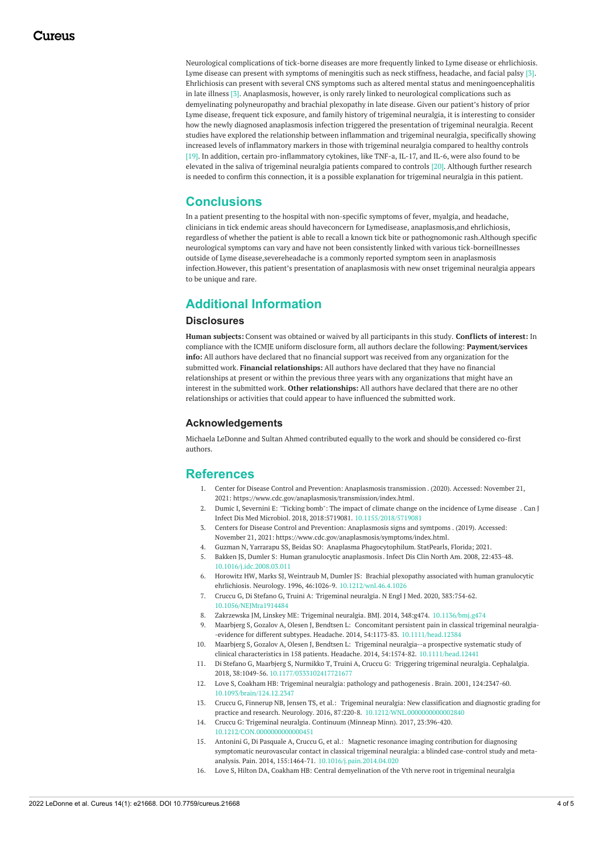Neurological complications of tick-borne diseases are more frequently linked to Lyme disease or ehrlichiosis. Lyme disease can present with symptoms of meningitis such as neck stiffness, headache, and facial palsy [3]. Ehrlichiosis can present with several CNS symptoms such as altered mental status and meningoencephalitis in late illness [3]. Anaplasmosis, however, is only rarely linked to neurological complications such as demyelinating polyneuropathy and brachial plexopathy in late disease. Given our patient's history of prior Lyme disease, frequent tick exposure, and family history of trigeminal neuralgia, it is interesting to consider how the newly diagnosed anaplasmosis infection triggered the presentation of trigeminal neuralgia. Recent studies have explored the relationship between inflammation and trigeminal neuralgia, specifically showing increased levels of inflammatory markers in those with trigeminal neuralgia compared to healthy controls [19]. In addition, certain pro-inflammatory cytokines, like TNF-a, IL-17, and IL-6, were also found to be elevated in the saliva of trigeminal neuralgia patients compared to controls [20]. Although further research is needed to confirm this connection, it is a possible explanation for trigeminal neuralgia in this patient.

## **Conclusions**

In a patient presenting to the hospital with non-specific symptoms of fever, myalgia, and headache, clinicians in tick endemic areas should haveconcern for Lymedisease, anaplasmosis,and ehrlichiosis, regardless of whether the patient is able to recall a known tick bite or pathognomonic rash.Although specific neurological symptoms can vary and have not been consistently linked with various tick-borneillnesses outside of Lyme disease,severeheadache is a commonly reported symptom seen in anaplasmosis infection.However, this patient's presentation of anaplasmosis with new onset trigeminal neuralgia appears to be unique and rare.

# **Additional Information**

#### **Disclosures**

**Human subjects:** Consent was obtained or waived by all participants in this study. **Conflicts of interest:** In compliance with the ICMJE uniform disclosure form, all authors declare the following: **Payment/services info:** All authors have declared that no financial support was received from any organization for the submitted work. **Financial relationships:** All authors have declared that they have no financial relationships at present or within the previous three years with any organizations that might have an interest in the submitted work. **Other relationships:** All authors have declared that there are no other relationships or activities that could appear to have influenced the submitted work.

#### **Acknowledgements**

Michaela LeDonne and Sultan Ahmed contributed equally to the work and should be considered co-first authors.

### **References**

- 1. Center for Disease Control and Prevention: [Anaplasmosis](https://www.cdc.gov/anaplasmosis/transmission/index.html) transmission . (2020). Accessed: November 21, 2021: <https://www.cdc.gov/anaplasmosis/transmission/index.html>.
- 2. Dumic I, Severnini E: "Ticking bomb": The impact of climate change on the [incidence](https://dx.doi.org/10.1155/2018/5719081) of Lyme disease . Can J Infect Dis Med Microbiol. 2018, 2018:5719081. [10.1155/2018/5719081](https://dx.doi.org/10.1155/2018/5719081)
- 3. Centers for Disease Control and Prevention: [Anaplasmosis](https://www.cdc.gov/anaplasmosis/symptoms/index.html) signs and symtpoms . (2019). Accessed: November 21, 2021: <https://www.cdc.gov/anaplasmosis/symptoms/index.html>.
- 4. Guzman N, Yarrarapu SS, Beidas SO: Anaplasma [Phagocytophilum](https://www.ncbi.nlm.nih.gov/books/NBK513341/). StatPearls, Florida; 2021. 5. Bakken JS, Dumler S: Human granulocytic [anaplasmosis](https://dx.doi.org/10.1016/j.idc.2008.03.011). Infect Dis Clin North Am. 2008, 22:433-48. [10.1016/j.idc.2008.03.011](https://dx.doi.org/10.1016/j.idc.2008.03.011)
- 6. Horowitz HW, Marks SJ, Weintraub M, Dumler JS: Brachial plexopathy associated with human granulocytic ehrlichiosis. Neurology. 1996, 46:1026-9. [10.1212/wnl.46.4.1026](https://dx.doi.org/10.1212/wnl.46.4.1026)
- 7. Cruccu G, Di Stefano G, Truini A: [Trigeminal](https://dx.doi.org/10.1056/NEJMra1914484) neuralgia. N Engl J Med. 2020, 383:754-62. [10.1056/NEJMra1914484](https://dx.doi.org/10.1056/NEJMra1914484)
- 8. Zakrzewska JM, Linskey ME: [Trigeminal](https://dx.doi.org/10.1136/bmj.g474) neuralgia. BMJ. 2014, 348:g474. [10.1136/bmj.g474](https://dx.doi.org/10.1136/bmj.g474)
- 9. Maarbjerg S, Gozalov A, Olesen J, Bendtsen L: Concomitant persistent pain in classical trigeminal neuralgia- -evidence for different subtypes. Headache. 2014, 54:1173-83. [10.1111/head.12384](https://dx.doi.org/10.1111/head.12384)
- 10. Maarbjerg S, Gozalov A, Olesen J, Bendtsen L: Trigeminal neuralgia--a prospective systematic study of clinical characteristics in 158 patients. Headache. 2014, 54:1574-82. [10.1111/head.12441](https://dx.doi.org/10.1111/head.12441)
- 11. Di Stefano G, Maarbjerg S, Nurmikko T, Truini A, Cruccu G: [Triggering](https://dx.doi.org/10.1177/0333102417721677) trigeminal neuralgia. Cephalalgia. 2018, 38:1049-56. [10.1177/0333102417721677](https://dx.doi.org/10.1177/0333102417721677)
- 12. Love S, Coakham HB: Trigeminal neuralgia: pathology and [pathogenesis](https://dx.doi.org/10.1093/brain/124.12.2347) . Brain. 2001, 124:2347-60. [10.1093/brain/124.12.2347](https://dx.doi.org/10.1093/brain/124.12.2347)
- 13. Cruccu G, Finnerup NB, Jensen TS, et al.: Trigeminal neuralgia: New classification and diagnostic grading for practice and research. Neurology. 2016, 87:220-8. [10.1212/WNL.0000000000002840](https://dx.doi.org/10.1212/WNL.0000000000002840)
- 14. Cruccu G: [Trigeminal](https://dx.doi.org/10.1212/CON.0000000000000451) neuralgia. Continuum (Minneap Minn). 2017, 23:396-420. [10.1212/CON.0000000000000451](https://dx.doi.org/10.1212/CON.0000000000000451)
- 15. Antonini G, Di Pasquale A, Cruccu G, et al.: Magnetic resonance imaging contribution for diagnosing symptomatic neurovascular contact in classical trigeminal neuralgia: a blinded case-control study and metaanalysis. Pain. 2014, 155:1464-71. [10.1016/j.pain.2014.04.020](https://dx.doi.org/10.1016/j.pain.2014.04.020)
- 16. Love S, Hilton DA, Coakham HB: Central [demyelination](https://dx.doi.org/10.1111/j.1750-3639.1998.tb00126.x) of the Vth nerve root in trigeminal neuralgia